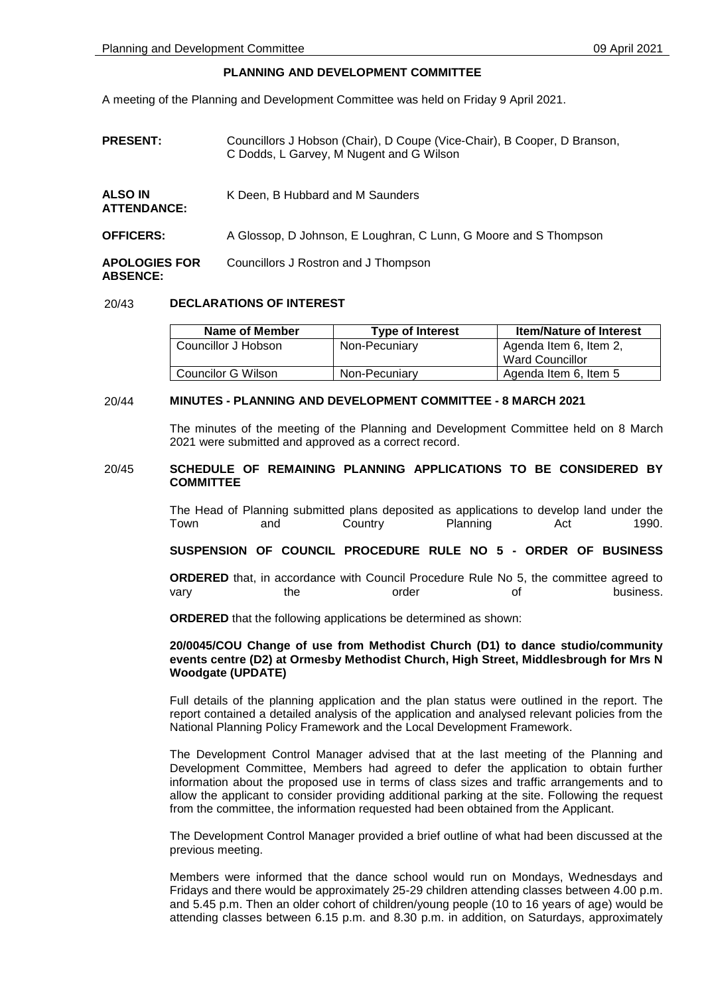# **PLANNING AND DEVELOPMENT COMMITTEE**

A meeting of the Planning and Development Committee was held on Friday 9 April 2021.

**PRESENT:** Councillors J Hobson (Chair), D Coupe (Vice-Chair), B Cooper, D Branson, C Dodds, L Garvey, M Nugent and G Wilson

| <b>ALSO IN</b><br><b>ATTENDANCE:</b>    | K Deen, B Hubbard and M Saunders                                 |  |
|-----------------------------------------|------------------------------------------------------------------|--|
| <b>OFFICERS:</b>                        | A Glossop, D Johnson, E Loughran, C Lunn, G Moore and S Thompson |  |
| <b>APOLOGIES FOR</b><br><b>ABSENCE:</b> | Councillors J Rostron and J Thompson                             |  |

# 20/43 **DECLARATIONS OF INTEREST**

| Name of Member      | <b>Type of Interest</b> | <b>Item/Nature of Interest</b> |
|---------------------|-------------------------|--------------------------------|
| Councillor J Hobson | Non-Pecuniary           | Agenda Item 6, Item 2,         |
|                     |                         | Ward Councillor                |
| Councilor G Wilson  | Non-Pecuniary           | Agenda Item 6, Item 5          |

# 20/44 **MINUTES - PLANNING AND DEVELOPMENT COMMITTEE - 8 MARCH 2021**

The minutes of the meeting of the Planning and Development Committee held on 8 March 2021 were submitted and approved as a correct record.

# 20/45 **SCHEDULE OF REMAINING PLANNING APPLICATIONS TO BE CONSIDERED BY COMMITTEE**

The Head of Planning submitted plans deposited as applications to develop land under the Town and Country Planning Act 1990.

**SUSPENSION OF COUNCIL PROCEDURE RULE NO 5 - ORDER OF BUSINESS**

**ORDERED** that, in accordance with Council Procedure Rule No 5, the committee agreed to vary the order of business.

**ORDERED** that the following applications be determined as shown:

# **20/0045/COU Change of use from Methodist Church (D1) to dance studio/community events centre (D2) at Ormesby Methodist Church, High Street, Middlesbrough for Mrs N Woodgate (UPDATE)**

Full details of the planning application and the plan status were outlined in the report. The report contained a detailed analysis of the application and analysed relevant policies from the National Planning Policy Framework and the Local Development Framework.

The Development Control Manager advised that at the last meeting of the Planning and Development Committee, Members had agreed to defer the application to obtain further information about the proposed use in terms of class sizes and traffic arrangements and to allow the applicant to consider providing additional parking at the site. Following the request from the committee, the information requested had been obtained from the Applicant.

The Development Control Manager provided a brief outline of what had been discussed at the previous meeting.

Members were informed that the dance school would run on Mondays, Wednesdays and Fridays and there would be approximately 25-29 children attending classes between 4.00 p.m. and 5.45 p.m. Then an older cohort of children/young people (10 to 16 years of age) would be attending classes between 6.15 p.m. and 8.30 p.m. in addition, on Saturdays, approximately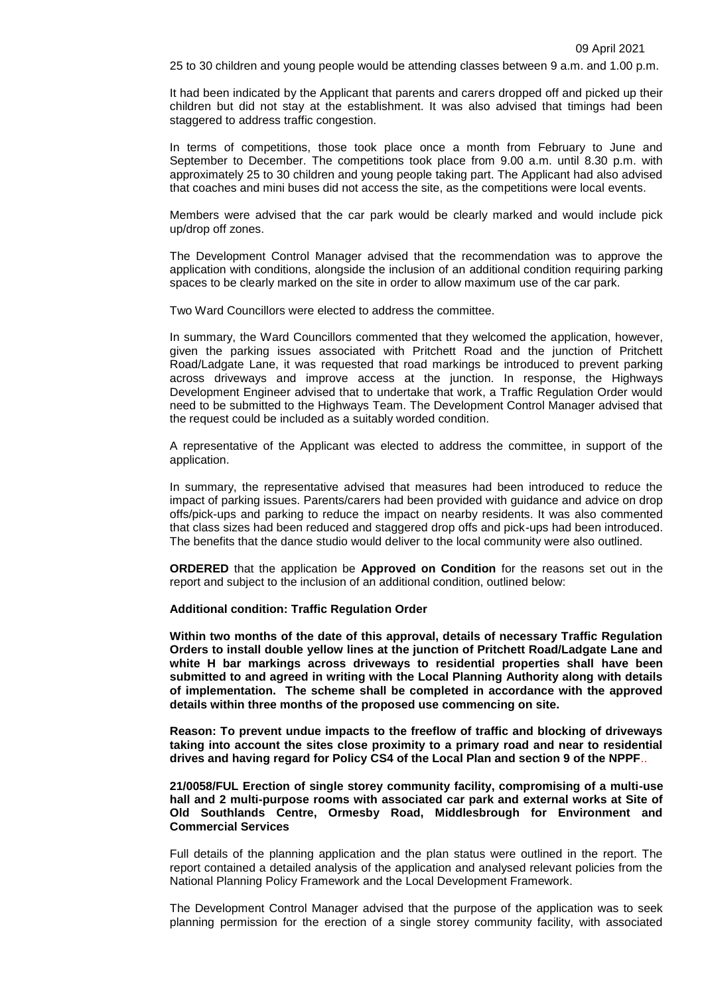25 to 30 children and young people would be attending classes between 9 a.m. and 1.00 p.m.

It had been indicated by the Applicant that parents and carers dropped off and picked up their children but did not stay at the establishment. It was also advised that timings had been staggered to address traffic congestion.

In terms of competitions, those took place once a month from February to June and September to December. The competitions took place from 9.00 a.m. until 8.30 p.m. with approximately 25 to 30 children and young people taking part. The Applicant had also advised that coaches and mini buses did not access the site, as the competitions were local events.

Members were advised that the car park would be clearly marked and would include pick up/drop off zones.

The Development Control Manager advised that the recommendation was to approve the application with conditions, alongside the inclusion of an additional condition requiring parking spaces to be clearly marked on the site in order to allow maximum use of the car park.

Two Ward Councillors were elected to address the committee.

In summary, the Ward Councillors commented that they welcomed the application, however, given the parking issues associated with Pritchett Road and the junction of Pritchett Road/Ladgate Lane, it was requested that road markings be introduced to prevent parking across driveways and improve access at the junction. In response, the Highways Development Engineer advised that to undertake that work, a Traffic Regulation Order would need to be submitted to the Highways Team. The Development Control Manager advised that the request could be included as a suitably worded condition.

A representative of the Applicant was elected to address the committee, in support of the application.

In summary, the representative advised that measures had been introduced to reduce the impact of parking issues. Parents/carers had been provided with guidance and advice on drop offs/pick-ups and parking to reduce the impact on nearby residents. It was also commented that class sizes had been reduced and staggered drop offs and pick-ups had been introduced. The benefits that the dance studio would deliver to the local community were also outlined.

**ORDERED** that the application be **Approved on Condition** for the reasons set out in the report and subject to the inclusion of an additional condition, outlined below:

#### **Additional condition: Traffic Regulation Order**

**Within two months of the date of this approval, details of necessary Traffic Regulation Orders to install double yellow lines at the junction of Pritchett Road/Ladgate Lane and white H bar markings across driveways to residential properties shall have been submitted to and agreed in writing with the Local Planning Authority along with details of implementation. The scheme shall be completed in accordance with the approved details within three months of the proposed use commencing on site.** 

**Reason: To prevent undue impacts to the freeflow of traffic and blocking of driveways taking into account the sites close proximity to a primary road and near to residential drives and having regard for Policy CS4 of the Local Plan and section 9 of the NPPF**..

**21/0058/FUL Erection of single storey community facility, compromising of a multi-use hall and 2 multi-purpose rooms with associated car park and external works at Site of Old Southlands Centre, Ormesby Road, Middlesbrough for Environment and Commercial Services**

Full details of the planning application and the plan status were outlined in the report. The report contained a detailed analysis of the application and analysed relevant policies from the National Planning Policy Framework and the Local Development Framework.

The Development Control Manager advised that the purpose of the application was to seek planning permission for the erection of a single storey community facility, with associated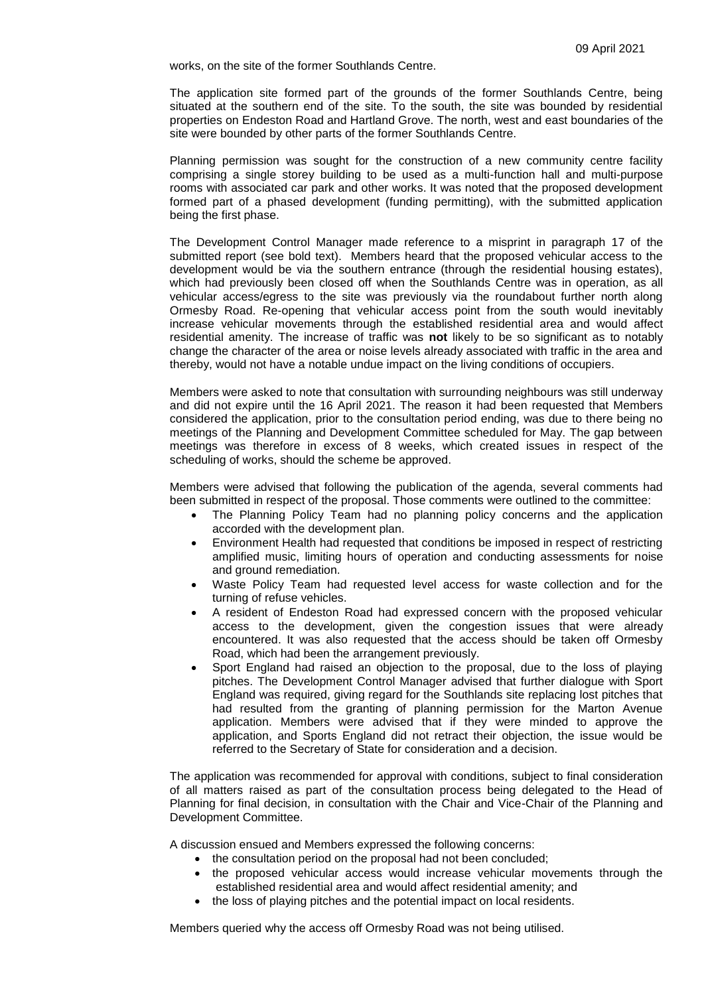works, on the site of the former Southlands Centre.

The application site formed part of the grounds of the former Southlands Centre, being situated at the southern end of the site. To the south, the site was bounded by residential properties on Endeston Road and Hartland Grove. The north, west and east boundaries of the site were bounded by other parts of the former Southlands Centre.

Planning permission was sought for the construction of a new community centre facility comprising a single storey building to be used as a multi-function hall and multi-purpose rooms with associated car park and other works. It was noted that the proposed development formed part of a phased development (funding permitting), with the submitted application being the first phase.

The Development Control Manager made reference to a misprint in paragraph 17 of the submitted report (see bold text). Members heard that the proposed vehicular access to the development would be via the southern entrance (through the residential housing estates), which had previously been closed off when the Southlands Centre was in operation, as all vehicular access/egress to the site was previously via the roundabout further north along Ormesby Road. Re-opening that vehicular access point from the south would inevitably increase vehicular movements through the established residential area and would affect residential amenity. The increase of traffic was **not** likely to be so significant as to notably change the character of the area or noise levels already associated with traffic in the area and thereby, would not have a notable undue impact on the living conditions of occupiers.

Members were asked to note that consultation with surrounding neighbours was still underway and did not expire until the 16 April 2021. The reason it had been requested that Members considered the application, prior to the consultation period ending, was due to there being no meetings of the Planning and Development Committee scheduled for May. The gap between meetings was therefore in excess of 8 weeks, which created issues in respect of the scheduling of works, should the scheme be approved.

Members were advised that following the publication of the agenda, several comments had been submitted in respect of the proposal. Those comments were outlined to the committee:

- The Planning Policy Team had no planning policy concerns and the application accorded with the development plan.
- Environment Health had requested that conditions be imposed in respect of restricting amplified music, limiting hours of operation and conducting assessments for noise and ground remediation.
- Waste Policy Team had requested level access for waste collection and for the turning of refuse vehicles.
- A resident of Endeston Road had expressed concern with the proposed vehicular access to the development, given the congestion issues that were already encountered. It was also requested that the access should be taken off Ormesby Road, which had been the arrangement previously.
- Sport England had raised an objection to the proposal, due to the loss of playing pitches. The Development Control Manager advised that further dialogue with Sport England was required, giving regard for the Southlands site replacing lost pitches that had resulted from the granting of planning permission for the Marton Avenue application. Members were advised that if they were minded to approve the application, and Sports England did not retract their objection, the issue would be referred to the Secretary of State for consideration and a decision.

The application was recommended for approval with conditions, subject to final consideration of all matters raised as part of the consultation process being delegated to the Head of Planning for final decision, in consultation with the Chair and Vice-Chair of the Planning and Development Committee.

A discussion ensued and Members expressed the following concerns:

- the consultation period on the proposal had not been concluded;
- the proposed vehicular access would increase vehicular movements through the established residential area and would affect residential amenity; and
- the loss of playing pitches and the potential impact on local residents.

Members queried why the access off Ormesby Road was not being utilised.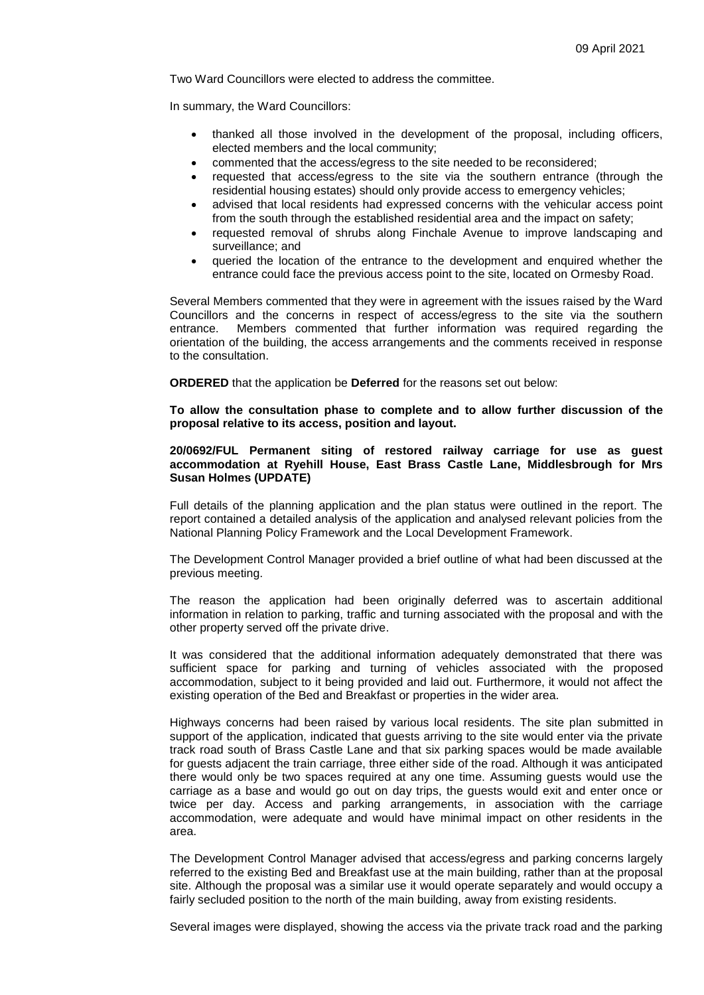Two Ward Councillors were elected to address the committee.

In summary, the Ward Councillors:

- thanked all those involved in the development of the proposal, including officers, elected members and the local community;
- commented that the access/egress to the site needed to be reconsidered;
- requested that access/egress to the site via the southern entrance (through the residential housing estates) should only provide access to emergency vehicles;
- advised that local residents had expressed concerns with the vehicular access point from the south through the established residential area and the impact on safety;
- requested removal of shrubs along Finchale Avenue to improve landscaping and surveillance; and
- queried the location of the entrance to the development and enquired whether the entrance could face the previous access point to the site, located on Ormesby Road.

Several Members commented that they were in agreement with the issues raised by the Ward Councillors and the concerns in respect of access/egress to the site via the southern entrance. Members commented that further information was required regarding the orientation of the building, the access arrangements and the comments received in response to the consultation.

**ORDERED** that the application be **Deferred** for the reasons set out below:

**To allow the consultation phase to complete and to allow further discussion of the proposal relative to its access, position and layout.**

#### **20/0692/FUL Permanent siting of restored railway carriage for use as guest accommodation at Ryehill House, East Brass Castle Lane, Middlesbrough for Mrs Susan Holmes (UPDATE)**

Full details of the planning application and the plan status were outlined in the report. The report contained a detailed analysis of the application and analysed relevant policies from the National Planning Policy Framework and the Local Development Framework.

The Development Control Manager provided a brief outline of what had been discussed at the previous meeting.

The reason the application had been originally deferred was to ascertain additional information in relation to parking, traffic and turning associated with the proposal and with the other property served off the private drive.

It was considered that the additional information adequately demonstrated that there was sufficient space for parking and turning of vehicles associated with the proposed accommodation, subject to it being provided and laid out. Furthermore, it would not affect the existing operation of the Bed and Breakfast or properties in the wider area.

Highways concerns had been raised by various local residents. The site plan submitted in support of the application, indicated that guests arriving to the site would enter via the private track road south of Brass Castle Lane and that six parking spaces would be made available for guests adjacent the train carriage, three either side of the road. Although it was anticipated there would only be two spaces required at any one time. Assuming guests would use the carriage as a base and would go out on day trips, the guests would exit and enter once or twice per day. Access and parking arrangements, in association with the carriage accommodation, were adequate and would have minimal impact on other residents in the area.

The Development Control Manager advised that access/egress and parking concerns largely referred to the existing Bed and Breakfast use at the main building, rather than at the proposal site. Although the proposal was a similar use it would operate separately and would occupy a fairly secluded position to the north of the main building, away from existing residents.

Several images were displayed, showing the access via the private track road and the parking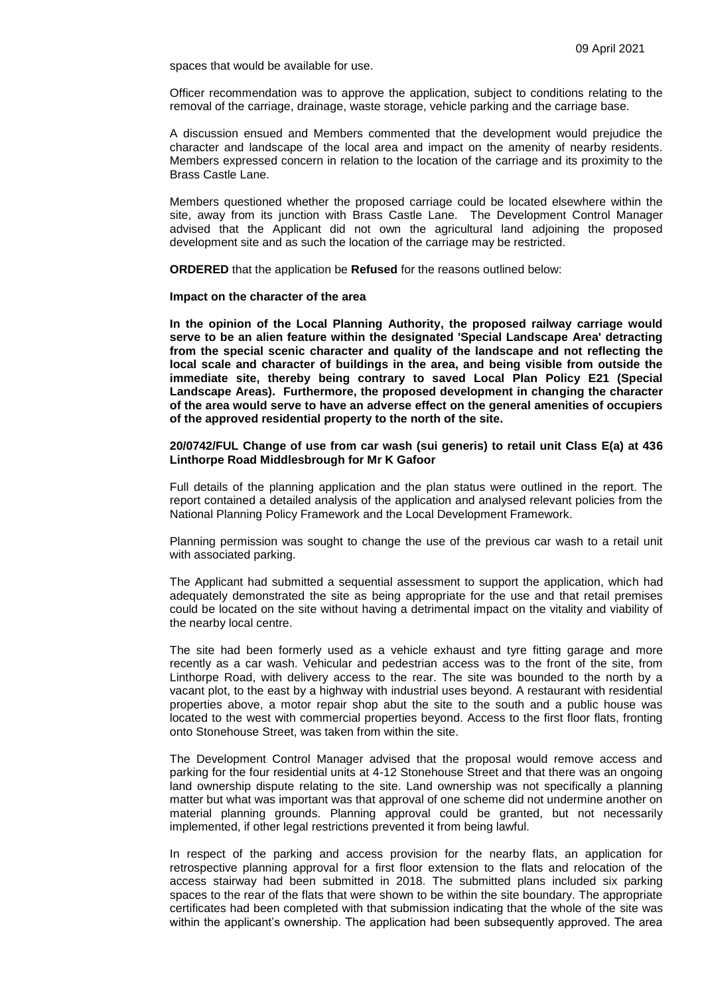spaces that would be available for use.

Officer recommendation was to approve the application, subject to conditions relating to the removal of the carriage, drainage, waste storage, vehicle parking and the carriage base.

A discussion ensued and Members commented that the development would prejudice the character and landscape of the local area and impact on the amenity of nearby residents. Members expressed concern in relation to the location of the carriage and its proximity to the Brass Castle Lane.

Members questioned whether the proposed carriage could be located elsewhere within the site, away from its junction with Brass Castle Lane. The Development Control Manager advised that the Applicant did not own the agricultural land adjoining the proposed development site and as such the location of the carriage may be restricted.

**ORDERED** that the application be **Refused** for the reasons outlined below:

# **Impact on the character of the area**

**In the opinion of the Local Planning Authority, the proposed railway carriage would serve to be an alien feature within the designated 'Special Landscape Area' detracting from the special scenic character and quality of the landscape and not reflecting the local scale and character of buildings in the area, and being visible from outside the immediate site, thereby being contrary to saved Local Plan Policy E21 (Special Landscape Areas). Furthermore, the proposed development in changing the character of the area would serve to have an adverse effect on the general amenities of occupiers of the approved residential property to the north of the site.**

#### **20/0742/FUL Change of use from car wash (sui generis) to retail unit Class E(a) at 436 Linthorpe Road Middlesbrough for Mr K Gafoor**

Full details of the planning application and the plan status were outlined in the report. The report contained a detailed analysis of the application and analysed relevant policies from the National Planning Policy Framework and the Local Development Framework.

Planning permission was sought to change the use of the previous car wash to a retail unit with associated parking.

The Applicant had submitted a sequential assessment to support the application, which had adequately demonstrated the site as being appropriate for the use and that retail premises could be located on the site without having a detrimental impact on the vitality and viability of the nearby local centre.

The site had been formerly used as a vehicle exhaust and tyre fitting garage and more recently as a car wash. Vehicular and pedestrian access was to the front of the site, from Linthorpe Road, with delivery access to the rear. The site was bounded to the north by a vacant plot, to the east by a highway with industrial uses beyond. A restaurant with residential properties above, a motor repair shop abut the site to the south and a public house was located to the west with commercial properties beyond. Access to the first floor flats, fronting onto Stonehouse Street, was taken from within the site.

The Development Control Manager advised that the proposal would remove access and parking for the four residential units at 4-12 Stonehouse Street and that there was an ongoing land ownership dispute relating to the site. Land ownership was not specifically a planning matter but what was important was that approval of one scheme did not undermine another on material planning grounds. Planning approval could be granted, but not necessarily implemented, if other legal restrictions prevented it from being lawful.

In respect of the parking and access provision for the nearby flats, an application for retrospective planning approval for a first floor extension to the flats and relocation of the access stairway had been submitted in 2018. The submitted plans included six parking spaces to the rear of the flats that were shown to be within the site boundary. The appropriate certificates had been completed with that submission indicating that the whole of the site was within the applicant's ownership. The application had been subsequently approved. The area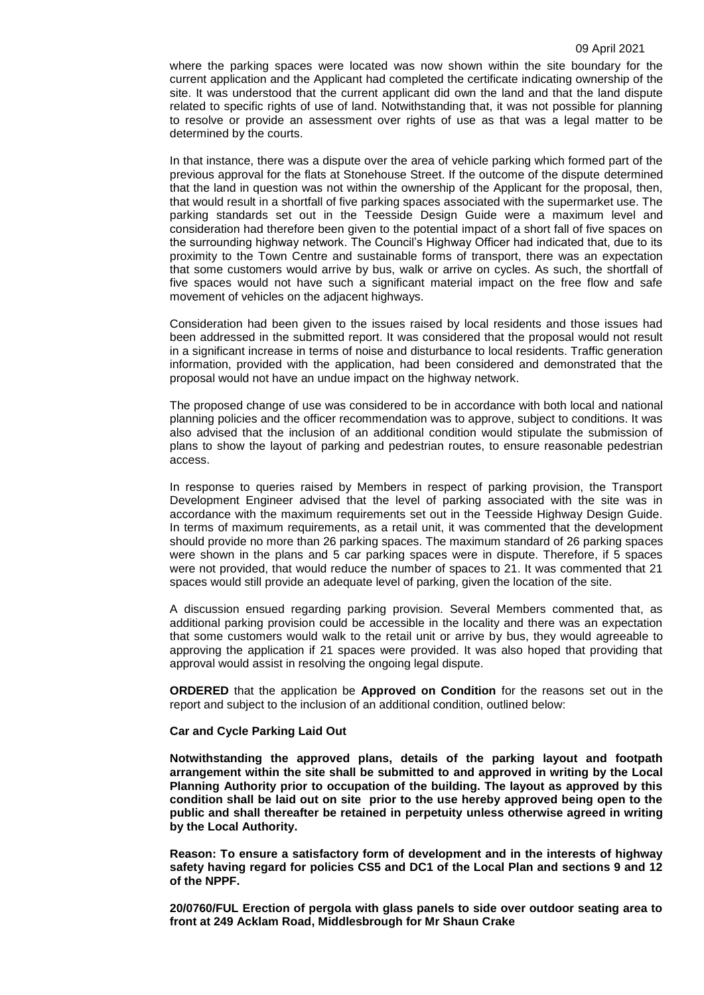where the parking spaces were located was now shown within the site boundary for the current application and the Applicant had completed the certificate indicating ownership of the site. It was understood that the current applicant did own the land and that the land dispute related to specific rights of use of land. Notwithstanding that, it was not possible for planning to resolve or provide an assessment over rights of use as that was a legal matter to be determined by the courts.

In that instance, there was a dispute over the area of vehicle parking which formed part of the previous approval for the flats at Stonehouse Street. If the outcome of the dispute determined that the land in question was not within the ownership of the Applicant for the proposal, then, that would result in a shortfall of five parking spaces associated with the supermarket use. The parking standards set out in the Teesside Design Guide were a maximum level and consideration had therefore been given to the potential impact of a short fall of five spaces on the surrounding highway network. The Council's Highway Officer had indicated that, due to its proximity to the Town Centre and sustainable forms of transport, there was an expectation that some customers would arrive by bus, walk or arrive on cycles. As such, the shortfall of five spaces would not have such a significant material impact on the free flow and safe movement of vehicles on the adjacent highways.

Consideration had been given to the issues raised by local residents and those issues had been addressed in the submitted report. It was considered that the proposal would not result in a significant increase in terms of noise and disturbance to local residents. Traffic generation information, provided with the application, had been considered and demonstrated that the proposal would not have an undue impact on the highway network.

The proposed change of use was considered to be in accordance with both local and national planning policies and the officer recommendation was to approve, subject to conditions. It was also advised that the inclusion of an additional condition would stipulate the submission of plans to show the layout of parking and pedestrian routes, to ensure reasonable pedestrian access.

In response to queries raised by Members in respect of parking provision, the Transport Development Engineer advised that the level of parking associated with the site was in accordance with the maximum requirements set out in the Teesside Highway Design Guide. In terms of maximum requirements, as a retail unit, it was commented that the development should provide no more than 26 parking spaces. The maximum standard of 26 parking spaces were shown in the plans and 5 car parking spaces were in dispute. Therefore, if 5 spaces were not provided, that would reduce the number of spaces to 21. It was commented that 21 spaces would still provide an adequate level of parking, given the location of the site.

A discussion ensued regarding parking provision. Several Members commented that, as additional parking provision could be accessible in the locality and there was an expectation that some customers would walk to the retail unit or arrive by bus, they would agreeable to approving the application if 21 spaces were provided. It was also hoped that providing that approval would assist in resolving the ongoing legal dispute.

**ORDERED** that the application be **Approved on Condition** for the reasons set out in the report and subject to the inclusion of an additional condition, outlined below:

# **Car and Cycle Parking Laid Out**

**Notwithstanding the approved plans, details of the parking layout and footpath arrangement within the site shall be submitted to and approved in writing by the Local Planning Authority prior to occupation of the building. The layout as approved by this condition shall be laid out on site prior to the use hereby approved being open to the public and shall thereafter be retained in perpetuity unless otherwise agreed in writing by the Local Authority.** 

**Reason: To ensure a satisfactory form of development and in the interests of highway safety having regard for policies CS5 and DC1 of the Local Plan and sections 9 and 12 of the NPPF.**

**20/0760/FUL Erection of pergola with glass panels to side over outdoor seating area to front at 249 Acklam Road, Middlesbrough for Mr Shaun Crake**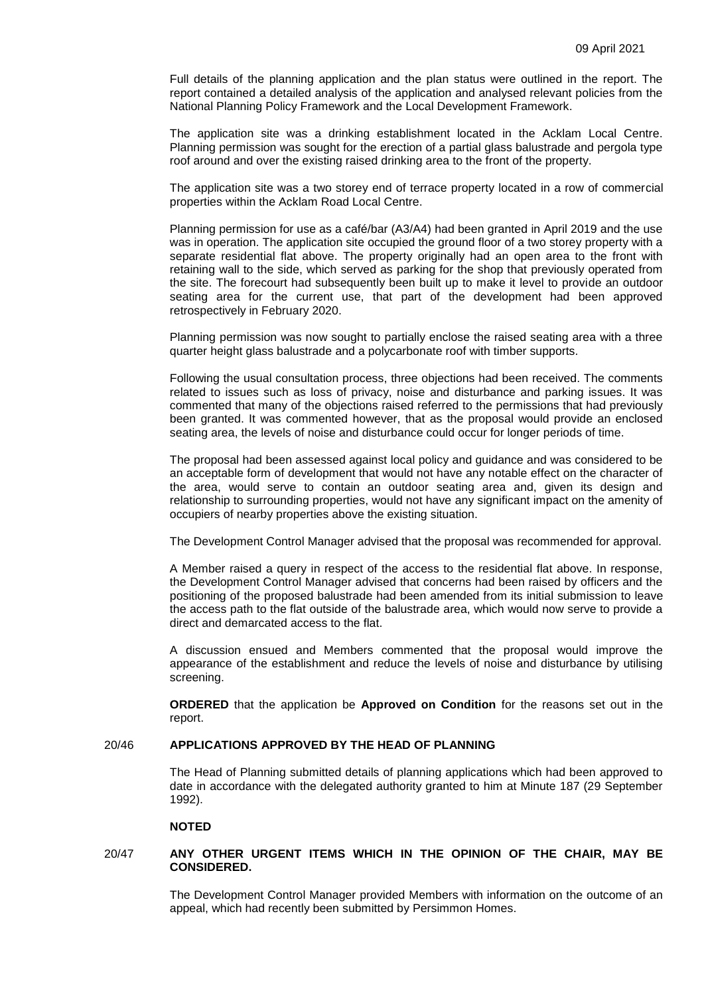Full details of the planning application and the plan status were outlined in the report. The report contained a detailed analysis of the application and analysed relevant policies from the National Planning Policy Framework and the Local Development Framework.

The application site was a drinking establishment located in the Acklam Local Centre. Planning permission was sought for the erection of a partial glass balustrade and pergola type roof around and over the existing raised drinking area to the front of the property.

The application site was a two storey end of terrace property located in a row of commercial properties within the Acklam Road Local Centre.

Planning permission for use as a café/bar (A3/A4) had been granted in April 2019 and the use was in operation. The application site occupied the ground floor of a two storey property with a separate residential flat above. The property originally had an open area to the front with retaining wall to the side, which served as parking for the shop that previously operated from the site. The forecourt had subsequently been built up to make it level to provide an outdoor seating area for the current use, that part of the development had been approved retrospectively in February 2020.

Planning permission was now sought to partially enclose the raised seating area with a three quarter height glass balustrade and a polycarbonate roof with timber supports.

Following the usual consultation process, three objections had been received. The comments related to issues such as loss of privacy, noise and disturbance and parking issues. It was commented that many of the objections raised referred to the permissions that had previously been granted. It was commented however, that as the proposal would provide an enclosed seating area, the levels of noise and disturbance could occur for longer periods of time.

The proposal had been assessed against local policy and guidance and was considered to be an acceptable form of development that would not have any notable effect on the character of the area, would serve to contain an outdoor seating area and, given its design and relationship to surrounding properties, would not have any significant impact on the amenity of occupiers of nearby properties above the existing situation.

The Development Control Manager advised that the proposal was recommended for approval.

A Member raised a query in respect of the access to the residential flat above. In response, the Development Control Manager advised that concerns had been raised by officers and the positioning of the proposed balustrade had been amended from its initial submission to leave the access path to the flat outside of the balustrade area, which would now serve to provide a direct and demarcated access to the flat.

A discussion ensued and Members commented that the proposal would improve the appearance of the establishment and reduce the levels of noise and disturbance by utilising screening.

**ORDERED** that the application be **Approved on Condition** for the reasons set out in the report.

# 20/46 **APPLICATIONS APPROVED BY THE HEAD OF PLANNING**

The Head of Planning submitted details of planning applications which had been approved to date in accordance with the delegated authority granted to him at Minute 187 (29 September 1992).

#### **NOTED**

### 20/47 **ANY OTHER URGENT ITEMS WHICH IN THE OPINION OF THE CHAIR, MAY BE CONSIDERED.**

The Development Control Manager provided Members with information on the outcome of an appeal, which had recently been submitted by Persimmon Homes.